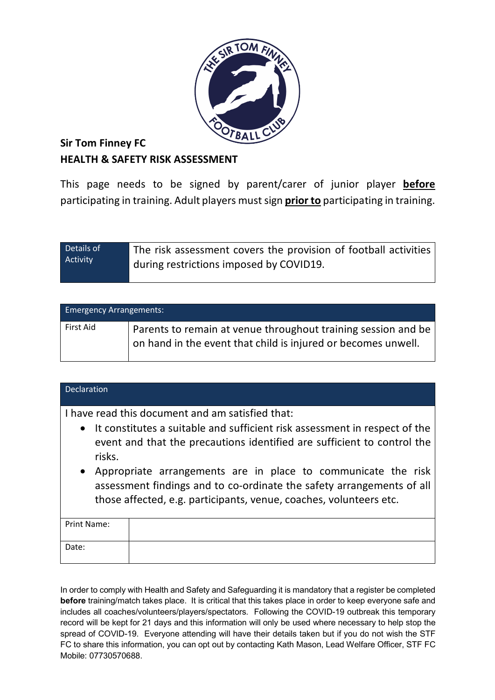

# **Sir Tom Finney FC HEALTH & SAFETY RISK ASSESSMENT**

This page needs to be signed by parent/carer of junior player **before** participating in training. Adult players must sign **prior to** participating in training.

| Details of | The risk assessment covers the provision of football activities |
|------------|-----------------------------------------------------------------|
| Activity   | during restrictions imposed by COVID19.                         |

| <b>Emergency Arrangements:</b> |                                                                                                                                        |  |  |  |
|--------------------------------|----------------------------------------------------------------------------------------------------------------------------------------|--|--|--|
| First Aid                      | Parents to remain at venue throughout training session and be<br>$\vert$ on hand in the event that child is injured or becomes unwell. |  |  |  |

| Declaration                                                                                                                                                                                                                                                                                         |
|-----------------------------------------------------------------------------------------------------------------------------------------------------------------------------------------------------------------------------------------------------------------------------------------------------|
|                                                                                                                                                                                                                                                                                                     |
| I have read this document and am satisfied that:<br>• It constitutes a suitable and sufficient risk assessment in respect of the<br>event and that the precautions identified are sufficient to control the<br>risks.<br>Appropriate arrangements are in place to communicate the risk<br>$\bullet$ |
| assessment findings and to co-ordinate the safety arrangements of all<br>those affected, e.g. participants, venue, coaches, volunteers etc.                                                                                                                                                         |
| Print Name:                                                                                                                                                                                                                                                                                         |
| Date:                                                                                                                                                                                                                                                                                               |

In order to comply with Health and Safety and Safeguarding it is mandatory that a register be completed **before** training/match takes place. It is critical that this takes place in order to keep everyone safe and includes all coaches/volunteers/players/spectators. Following the COVID-19 outbreak this temporary record will be kept for 21 days and this information will only be used where necessary to help stop the spread of COVID-19. Everyone attending will have their details taken but if you do not wish the STF FC to share this information, you can opt out by contacting Kath Mason, Lead Welfare Officer, STF FC Mobile: 07730570688.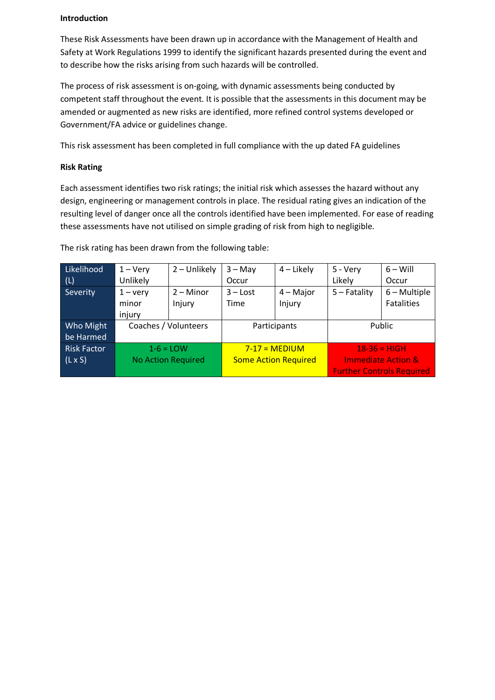#### **Introduction**

These Risk Assessments have been drawn up in accordance with the Management of Health and Safety at Work Regulations 1999 to identify the significant hazards presented during the event and to describe how the risks arising from such hazards will be controlled.

The process of risk assessment is on-going, with dynamic assessments being conducted by competent staff throughout the event. It is possible that the assessments in this document may be amended or augmented as new risks are identified, more refined control systems developed or Government/FA advice or guidelines change.

This risk assessment has been completed in full compliance with the up dated FA guidelines

### **Risk Rating**

Each assessment identifies two risk ratings; the initial risk which assesses the hazard without any design, engineering or management controls in place. The residual rating gives an indication of the resulting level of danger once all the controls identified have been implemented. For ease of reading these assessments have not utilised on simple grading of risk from high to negligible.

| Likelihood         | $1 -$ Very                | 2 - Unlikely | $3 - May$       | $4$ – Likely                | 5 - Very       | $6 - Will$                       |
|--------------------|---------------------------|--------------|-----------------|-----------------------------|----------------|----------------------------------|
| (L)                | Unlikely                  |              | Occur           |                             | Likely         | Occur                            |
| Severity           | $1 - \text{very}$         | $2 -$ Minor  | $3 -$ Lost      | $4 - Major$                 | $5 -$ Fatality | $6 - Multiple$                   |
|                    | minor                     | Injury       | Time            | Injury                      |                | <b>Fatalities</b>                |
|                    | injury                    |              |                 |                             |                |                                  |
| Who Might          | Coaches / Volunteers      |              |                 | Participants                |                | Public                           |
| be Harmed          |                           |              |                 |                             |                |                                  |
| <b>Risk Factor</b> | $1-6 =$ LOW               |              | $7-17 = MEDIUM$ |                             |                | $18-36 = HIGH$                   |
| $(L \times S)$     | <b>No Action Required</b> |              |                 | <b>Some Action Required</b> |                | <b>Immediate Action &amp;</b>    |
|                    |                           |              |                 |                             |                | <b>Further Controls Required</b> |

The risk rating has been drawn from the following table: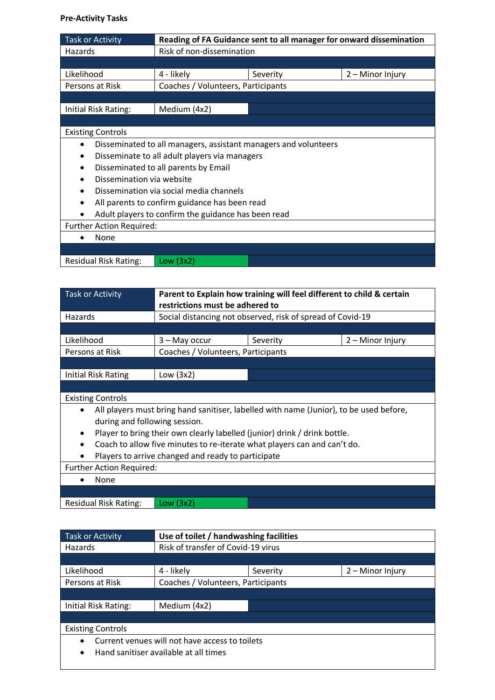## **Pre-Activity Tasks**

| <b>Task or Activity</b>                             |                                                                 | Reading of FA Guidance sent to all manager for onward dissemination |                  |  |
|-----------------------------------------------------|-----------------------------------------------------------------|---------------------------------------------------------------------|------------------|--|
| Hazards                                             | Risk of non-dissemination                                       |                                                                     |                  |  |
|                                                     |                                                                 |                                                                     |                  |  |
| Likelihood                                          | 4 - likely                                                      | Severity                                                            | 2 – Minor Injury |  |
| Persons at Risk                                     | Coaches / Volunteers, Participants                              |                                                                     |                  |  |
|                                                     |                                                                 |                                                                     |                  |  |
| Initial Risk Rating:                                | Medium (4x2)                                                    |                                                                     |                  |  |
|                                                     |                                                                 |                                                                     |                  |  |
| <b>Existing Controls</b>                            |                                                                 |                                                                     |                  |  |
| $\bullet$                                           | Disseminated to all managers, assistant managers and volunteers |                                                                     |                  |  |
|                                                     | Disseminate to all adult players via managers                   |                                                                     |                  |  |
| $\bullet$                                           | Disseminated to all parents by Email                            |                                                                     |                  |  |
| Dissemination via website                           |                                                                 |                                                                     |                  |  |
| $\bullet$                                           | Dissemination via social media channels                         |                                                                     |                  |  |
|                                                     | All parents to confirm guidance has been read                   |                                                                     |                  |  |
| Adult players to confirm the guidance has been read |                                                                 |                                                                     |                  |  |
| <b>Further Action Required:</b>                     |                                                                 |                                                                     |                  |  |
| None                                                |                                                                 |                                                                     |                  |  |
|                                                     |                                                                 |                                                                     |                  |  |
| <b>Residual Risk Rating:</b><br>Low $(3x2)$         |                                                                 |                                                                     |                  |  |

| <b>Task or Activity</b>                                                                                                              | Parent to Explain how training will feel different to child & certain<br>restrictions must be adhered to |          |                  |  |  |
|--------------------------------------------------------------------------------------------------------------------------------------|----------------------------------------------------------------------------------------------------------|----------|------------------|--|--|
| Hazards                                                                                                                              | Social distancing not observed, risk of spread of Covid-19                                               |          |                  |  |  |
|                                                                                                                                      |                                                                                                          |          |                  |  |  |
| Likelihood                                                                                                                           | 3 – May occur                                                                                            | Severity | 2 - Minor Injury |  |  |
| Persons at Risk                                                                                                                      | Coaches / Volunteers, Participants                                                                       |          |                  |  |  |
|                                                                                                                                      |                                                                                                          |          |                  |  |  |
| <b>Initial Risk Rating</b>                                                                                                           | Low $(3x2)$                                                                                              |          |                  |  |  |
|                                                                                                                                      |                                                                                                          |          |                  |  |  |
| <b>Existing Controls</b>                                                                                                             |                                                                                                          |          |                  |  |  |
| All players must bring hand sanitiser, labelled with name (Junior), to be used before,<br>$\bullet$<br>during and following session. |                                                                                                          |          |                  |  |  |
| Player to bring their own clearly labelled (junior) drink / drink bottle.<br>$\bullet$                                               |                                                                                                          |          |                  |  |  |
| $\bullet$                                                                                                                            | Coach to allow five minutes to re-iterate what players can and can't do.                                 |          |                  |  |  |
| Players to arrive changed and ready to participate                                                                                   |                                                                                                          |          |                  |  |  |
| <b>Further Action Required:</b>                                                                                                      |                                                                                                          |          |                  |  |  |
| None                                                                                                                                 |                                                                                                          |          |                  |  |  |
|                                                                                                                                      |                                                                                                          |          |                  |  |  |
| Residual Risk Rating:                                                                                                                | Low $(3x2)$                                                                                              |          |                  |  |  |

| Task or Activity                                   | Use of toilet / handwashing facilities |          |                  |  |  |
|----------------------------------------------------|----------------------------------------|----------|------------------|--|--|
| Hazards                                            | Risk of transfer of Covid-19 virus     |          |                  |  |  |
|                                                    |                                        |          |                  |  |  |
| Likelihood                                         | 4 - likely                             | Severity | 2 - Minor Injury |  |  |
| Persons at Risk                                    | Coaches / Volunteers, Participants     |          |                  |  |  |
|                                                    |                                        |          |                  |  |  |
| Initial Risk Rating:                               | Medium (4x2)                           |          |                  |  |  |
|                                                    |                                        |          |                  |  |  |
| <b>Existing Controls</b>                           |                                        |          |                  |  |  |
| Current venues will not have access to toilets     |                                        |          |                  |  |  |
| Hand sanitiser available at all times<br>$\bullet$ |                                        |          |                  |  |  |
|                                                    |                                        |          |                  |  |  |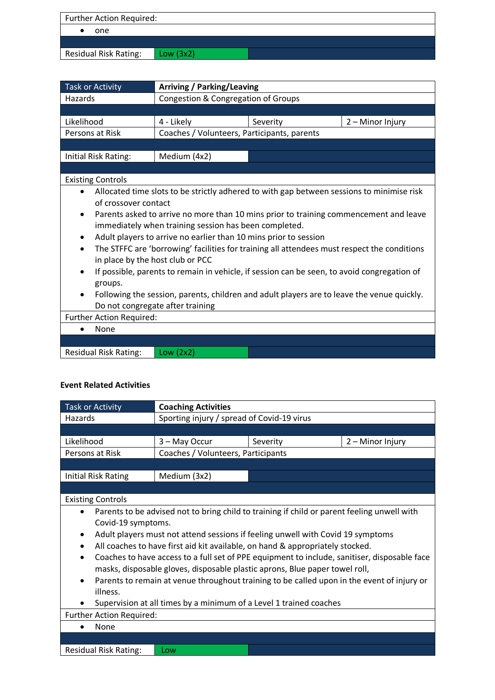| <b>Further Action Required:</b> |             |  |  |  |
|---------------------------------|-------------|--|--|--|
| one                             |             |  |  |  |
|                                 |             |  |  |  |
| <b>Residual Risk Rating:</b>    | Low $(3x2)$ |  |  |  |

| <b>Task or Activity</b>                                                                                                                                                                                                                                                                                                                                                                                                                                                                                                                                                                                                                                                                                                                                                                                                                         | Arriving / Parking/Leaving                  |          |                  |  |  |
|-------------------------------------------------------------------------------------------------------------------------------------------------------------------------------------------------------------------------------------------------------------------------------------------------------------------------------------------------------------------------------------------------------------------------------------------------------------------------------------------------------------------------------------------------------------------------------------------------------------------------------------------------------------------------------------------------------------------------------------------------------------------------------------------------------------------------------------------------|---------------------------------------------|----------|------------------|--|--|
| Hazards                                                                                                                                                                                                                                                                                                                                                                                                                                                                                                                                                                                                                                                                                                                                                                                                                                         | Congestion & Congregation of Groups         |          |                  |  |  |
|                                                                                                                                                                                                                                                                                                                                                                                                                                                                                                                                                                                                                                                                                                                                                                                                                                                 |                                             |          |                  |  |  |
| Likelihood                                                                                                                                                                                                                                                                                                                                                                                                                                                                                                                                                                                                                                                                                                                                                                                                                                      | 4 - Likely                                  | Severity | 2 - Minor Injury |  |  |
| Persons at Risk                                                                                                                                                                                                                                                                                                                                                                                                                                                                                                                                                                                                                                                                                                                                                                                                                                 | Coaches / Volunteers, Participants, parents |          |                  |  |  |
|                                                                                                                                                                                                                                                                                                                                                                                                                                                                                                                                                                                                                                                                                                                                                                                                                                                 |                                             |          |                  |  |  |
| <b>Initial Risk Rating:</b>                                                                                                                                                                                                                                                                                                                                                                                                                                                                                                                                                                                                                                                                                                                                                                                                                     | Medium (4x2)                                |          |                  |  |  |
|                                                                                                                                                                                                                                                                                                                                                                                                                                                                                                                                                                                                                                                                                                                                                                                                                                                 |                                             |          |                  |  |  |
| <b>Existing Controls</b>                                                                                                                                                                                                                                                                                                                                                                                                                                                                                                                                                                                                                                                                                                                                                                                                                        |                                             |          |                  |  |  |
| Allocated time slots to be strictly adhered to with gap between sessions to minimise risk<br>$\bullet$<br>of crossover contact<br>Parents asked to arrive no more than 10 mins prior to training commencement and leave<br>$\bullet$<br>immediately when training session has been completed.<br>Adult players to arrive no earlier than 10 mins prior to session<br>$\bullet$<br>The STFFC are 'borrowing' facilities for training all attendees must respect the conditions<br>$\bullet$<br>in place by the host club or PCC<br>If possible, parents to remain in vehicle, if session can be seen, to avoid congregation of<br>$\bullet$<br>groups.<br>Following the session, parents, children and adult players are to leave the venue quickly.<br>$\bullet$<br>Do not congregate after training<br><b>Further Action Required:</b><br>None |                                             |          |                  |  |  |
| <b>Residual Risk Rating:</b>                                                                                                                                                                                                                                                                                                                                                                                                                                                                                                                                                                                                                                                                                                                                                                                                                    | Low $(2x2)$                                 |          |                  |  |  |

### **Event Related Activities**

| <b>Task or Activity</b>                                            | <b>Coaching Activities</b>                                                                   |                                                                                             |                  |  |  |
|--------------------------------------------------------------------|----------------------------------------------------------------------------------------------|---------------------------------------------------------------------------------------------|------------------|--|--|
| Hazards                                                            | Sporting injury / spread of Covid-19 virus                                                   |                                                                                             |                  |  |  |
|                                                                    |                                                                                              |                                                                                             |                  |  |  |
|                                                                    |                                                                                              |                                                                                             |                  |  |  |
| Likelihood                                                         | 3 - May Occur                                                                                | Severity                                                                                    | 2 - Minor Injury |  |  |
| Persons at Risk                                                    | Coaches / Volunteers, Participants                                                           |                                                                                             |                  |  |  |
|                                                                    |                                                                                              |                                                                                             |                  |  |  |
| <b>Initial Risk Rating</b>                                         | Medium (3x2)                                                                                 |                                                                                             |                  |  |  |
|                                                                    |                                                                                              |                                                                                             |                  |  |  |
| <b>Existing Controls</b>                                           |                                                                                              |                                                                                             |                  |  |  |
| $\bullet$                                                          |                                                                                              | Parents to be advised not to bring child to training if child or parent feeling unwell with |                  |  |  |
| Covid-19 symptoms.                                                 |                                                                                              |                                                                                             |                  |  |  |
| $\bullet$                                                          |                                                                                              | Adult players must not attend sessions if feeling unwell with Covid 19 symptoms             |                  |  |  |
| $\bullet$                                                          | All coaches to have first aid kit available, on hand & appropriately stocked.                |                                                                                             |                  |  |  |
| $\bullet$                                                          | Coaches to have access to a full set of PPE equipment to include, sanitiser, disposable face |                                                                                             |                  |  |  |
|                                                                    | masks, disposable gloves, disposable plastic aprons, Blue paper towel roll,                  |                                                                                             |                  |  |  |
| $\bullet$                                                          | Parents to remain at venue throughout training to be called upon in the event of injury or   |                                                                                             |                  |  |  |
| illness.                                                           |                                                                                              |                                                                                             |                  |  |  |
| Supervision at all times by a minimum of a Level 1 trained coaches |                                                                                              |                                                                                             |                  |  |  |
| <b>Further Action Required:</b>                                    |                                                                                              |                                                                                             |                  |  |  |
| None                                                               |                                                                                              |                                                                                             |                  |  |  |
|                                                                    |                                                                                              |                                                                                             |                  |  |  |
|                                                                    |                                                                                              |                                                                                             |                  |  |  |